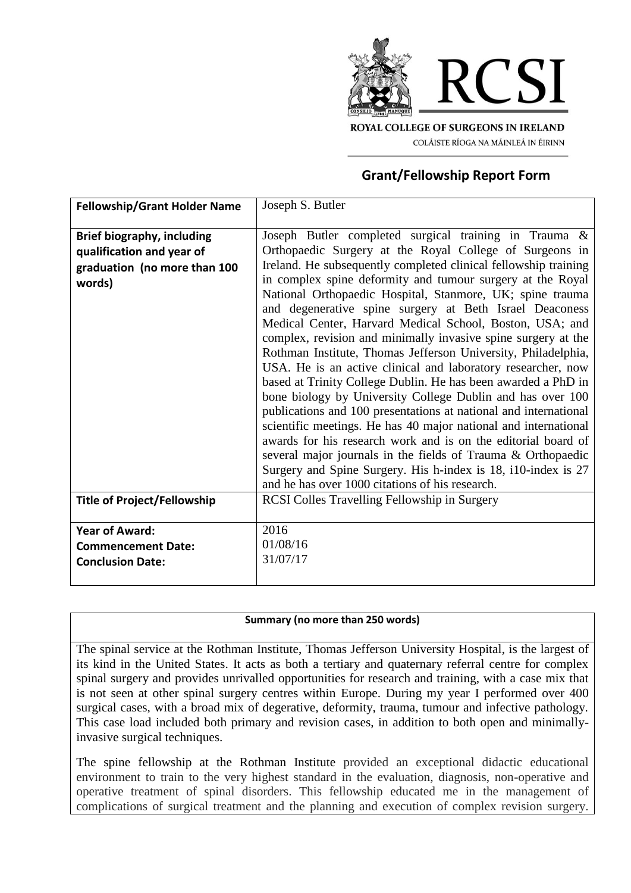

COLÁISTE RÍOGA NA MÁINLEÁ IN ÉIRINN

# **Grant/Fellowship Report Form**

| <b>Fellowship/Grant Holder Name</b>                                                                      | Joseph S. Butler                                                                                                                                                                                                                                                                                                                                                                                                                                                                                                                                                                                                                                                                                                                                                                                                                                                                                                                                                                                                                                                                                                                                                   |
|----------------------------------------------------------------------------------------------------------|--------------------------------------------------------------------------------------------------------------------------------------------------------------------------------------------------------------------------------------------------------------------------------------------------------------------------------------------------------------------------------------------------------------------------------------------------------------------------------------------------------------------------------------------------------------------------------------------------------------------------------------------------------------------------------------------------------------------------------------------------------------------------------------------------------------------------------------------------------------------------------------------------------------------------------------------------------------------------------------------------------------------------------------------------------------------------------------------------------------------------------------------------------------------|
| <b>Brief biography, including</b><br>qualification and year of<br>graduation (no more than 100<br>words) | Joseph Butler completed surgical training in Trauma &<br>Orthopaedic Surgery at the Royal College of Surgeons in<br>Ireland. He subsequently completed clinical fellowship training<br>in complex spine deformity and tumour surgery at the Royal<br>National Orthopaedic Hospital, Stanmore, UK; spine trauma<br>and degenerative spine surgery at Beth Israel Deaconess<br>Medical Center, Harvard Medical School, Boston, USA; and<br>complex, revision and minimally invasive spine surgery at the<br>Rothman Institute, Thomas Jefferson University, Philadelphia,<br>USA. He is an active clinical and laboratory researcher, now<br>based at Trinity College Dublin. He has been awarded a PhD in<br>bone biology by University College Dublin and has over 100<br>publications and 100 presentations at national and international<br>scientific meetings. He has 40 major national and international<br>awards for his research work and is on the editorial board of<br>several major journals in the fields of Trauma & Orthopaedic<br>Surgery and Spine Surgery. His h-index is 18, i10-index is 27<br>and he has over 1000 citations of his research. |
| <b>Title of Project/Fellowship</b>                                                                       | <b>RCSI Colles Travelling Fellowship in Surgery</b>                                                                                                                                                                                                                                                                                                                                                                                                                                                                                                                                                                                                                                                                                                                                                                                                                                                                                                                                                                                                                                                                                                                |
| <b>Year of Award:</b><br><b>Commencement Date:</b><br><b>Conclusion Date:</b>                            | 2016<br>01/08/16<br>31/07/17                                                                                                                                                                                                                                                                                                                                                                                                                                                                                                                                                                                                                                                                                                                                                                                                                                                                                                                                                                                                                                                                                                                                       |

#### **Summary (no more than 250 words)**

The spinal service at the Rothman Institute, Thomas Jefferson University Hospital, is the largest of its kind in the United States. It acts as both a tertiary and quaternary referral centre for complex spinal surgery and provides unrivalled opportunities for research and training, with a case mix that is not seen at other spinal surgery centres within Europe. During my year I performed over 400 surgical cases, with a broad mix of degerative, deformity, trauma, tumour and infective pathology. This case load included both primary and revision cases, in addition to both open and minimallyinvasive surgical techniques.

The spine fellowship at the Rothman Institute provided an exceptional didactic educational environment to train to the very highest standard in the evaluation, diagnosis, non-operative and operative treatment of spinal disorders. This fellowship educated me in the management of complications of surgical treatment and the planning and execution of complex revision surgery.